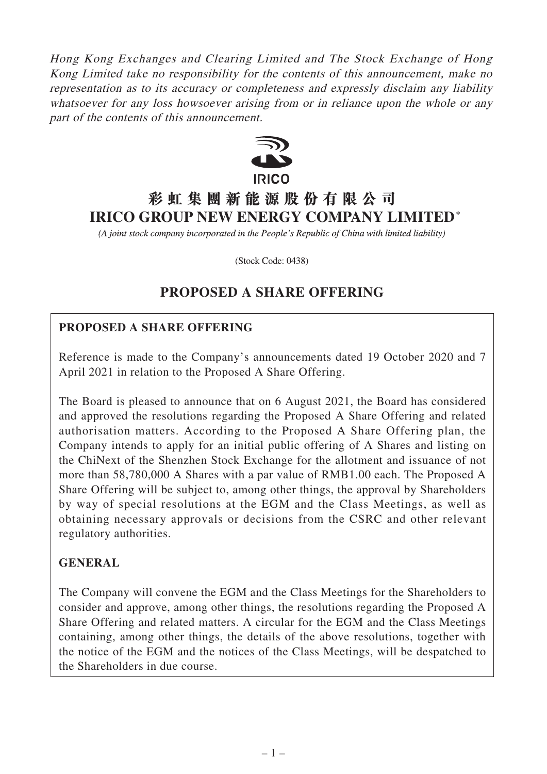Hong Kong Exchanges and Clearing Limited and The Stock Exchange of Hong Kong Limited take no responsibility for the contents of this announcement, make no representation as to its accuracy or completeness and expressly disclaim any liability whatsoever for any loss howsoever arising from or in reliance upon the whole or any part of the contents of this announcement.



# **彩虹集團新能源股份有限公司 IRICO GROUP NEW ENERGY COMPANY LIMITED\***

(A joint stock company incorporated in the People's Republic of China with limited liability)

(Stock Code: 0438)

## **PROPOSED A SHARE OFFERING**

## **PROPOSED A SHARE OFFERING**

Reference is made to the Company's announcements dated 19 October 2020 and 7 April 2021 in relation to the Proposed A Share Offering.

The Board is pleased to announce that on 6 August 2021, the Board has considered and approved the resolutions regarding the Proposed A Share Offering and related authorisation matters. According to the Proposed A Share Offering plan, the Company intends to apply for an initial public offering of A Shares and listing on the ChiNext of the Shenzhen Stock Exchange for the allotment and issuance of not more than 58,780,000 A Shares with a par value of RMB1.00 each. The Proposed A Share Offering will be subject to, among other things, the approval by Shareholders by way of special resolutions at the EGM and the Class Meetings, as well as obtaining necessary approvals or decisions from the CSRC and other relevant regulatory authorities.

## **GENERAL**

The Company will convene the EGM and the Class Meetings for the Shareholders to consider and approve, among other things, the resolutions regarding the Proposed A Share Offering and related matters. A circular for the EGM and the Class Meetings containing, among other things, the details of the above resolutions, together with the notice of the EGM and the notices of the Class Meetings, will be despatched to the Shareholders in due course.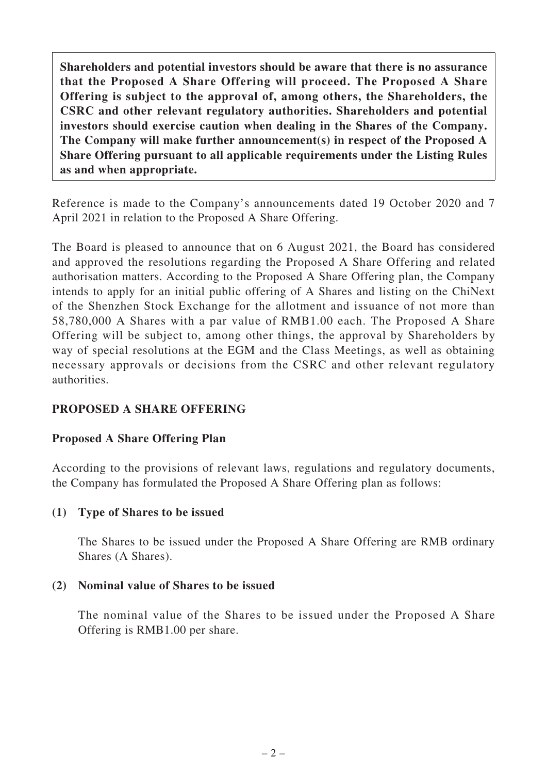**Shareholders and potential investors should be aware that there is no assurance that the Proposed A Share Offering will proceed. The Proposed A Share Offering is subject to the approval of, among others, the Shareholders, the CSRC and other relevant regulatory authorities. Shareholders and potential investors should exercise caution when dealing in the Shares of the Company. The Company will make further announcement(s) in respect of the Proposed A Share Offering pursuant to all applicable requirements under the Listing Rules as and when appropriate.**

Reference is made to the Company's announcements dated 19 October 2020 and 7 April 2021 in relation to the Proposed A Share Offering.

The Board is pleased to announce that on 6 August 2021, the Board has considered and approved the resolutions regarding the Proposed A Share Offering and related authorisation matters. According to the Proposed A Share Offering plan, the Company intends to apply for an initial public offering of A Shares and listing on the ChiNext of the Shenzhen Stock Exchange for the allotment and issuance of not more than 58,780,000 A Shares with a par value of RMB1.00 each. The Proposed A Share Offering will be subject to, among other things, the approval by Shareholders by way of special resolutions at the EGM and the Class Meetings, as well as obtaining necessary approvals or decisions from the CSRC and other relevant regulatory authorities.

## **PROPOSED A SHARE OFFERING**

## **Proposed A Share Offering Plan**

According to the provisions of relevant laws, regulations and regulatory documents, the Company has formulated the Proposed A Share Offering plan as follows:

#### **(1) Type of Shares to be issued**

The Shares to be issued under the Proposed A Share Offering are RMB ordinary Shares (A Shares).

#### **(2) Nominal value of Shares to be issued**

The nominal value of the Shares to be issued under the Proposed A Share Offering is RMB1.00 per share.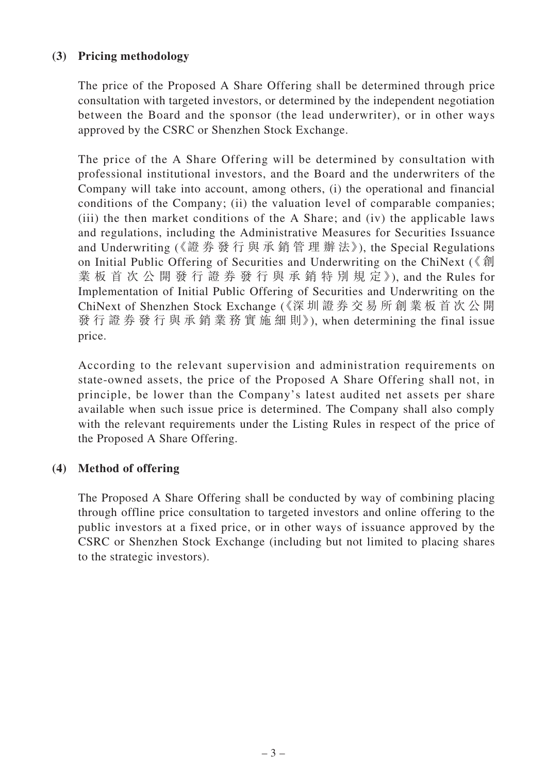## **(3) Pricing methodology**

The price of the Proposed A Share Offering shall be determined through price consultation with targeted investors, or determined by the independent negotiation between the Board and the sponsor (the lead underwriter), or in other ways approved by the CSRC or Shenzhen Stock Exchange.

The price of the A Share Offering will be determined by consultation with professional institutional investors, and the Board and the underwriters of the Company will take into account, among others, (i) the operational and financial conditions of the Company; (ii) the valuation level of comparable companies; (iii) the then market conditions of the A Share; and (iv) the applicable laws and regulations, including the Administrative Measures for Securities Issuance and Underwriting (《證 券 發 行 與 承 銷 管 理 辦 法》), the Special Regulations on Initial Public Offering of Securities and Underwriting on the ChiNext (《 創 業 板 首 次 公 開 發 行 證 券 發 行 與 承 銷 特 別 規 定》), and the Rules for Implementation of Initial Public Offering of Securities and Underwriting on the ChiNext of Shenzhen Stock Exchange (《深 圳 證 券 交 易 所 創 業 板 首 次 公 開 發 行 證 券 發 行 與 承 銷 業 務 實 施 細 則》), when determining the final issue price.

According to the relevant supervision and administration requirements on state-owned assets, the price of the Proposed A Share Offering shall not, in principle, be lower than the Company's latest audited net assets per share available when such issue price is determined. The Company shall also comply with the relevant requirements under the Listing Rules in respect of the price of the Proposed A Share Offering.

#### **(4) Method of offering**

The Proposed A Share Offering shall be conducted by way of combining placing through offline price consultation to targeted investors and online offering to the public investors at a fixed price, or in other ways of issuance approved by the CSRC or Shenzhen Stock Exchange (including but not limited to placing shares to the strategic investors).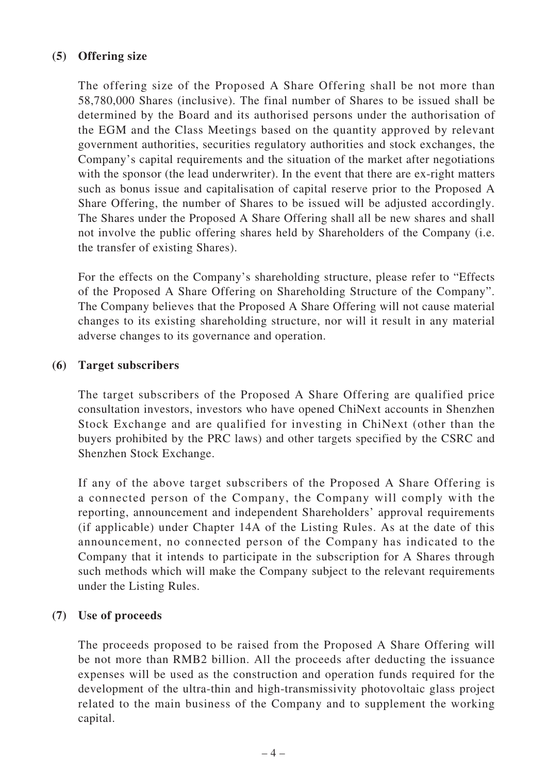## **(5) Offering size**

The offering size of the Proposed A Share Offering shall be not more than 58,780,000 Shares (inclusive). The final number of Shares to be issued shall be determined by the Board and its authorised persons under the authorisation of the EGM and the Class Meetings based on the quantity approved by relevant government authorities, securities regulatory authorities and stock exchanges, the Company's capital requirements and the situation of the market after negotiations with the sponsor (the lead underwriter). In the event that there are ex-right matters such as bonus issue and capitalisation of capital reserve prior to the Proposed A Share Offering, the number of Shares to be issued will be adjusted accordingly. The Shares under the Proposed A Share Offering shall all be new shares and shall not involve the public offering shares held by Shareholders of the Company (i.e. the transfer of existing Shares).

For the effects on the Company's shareholding structure, please refer to "Effects of the Proposed A Share Offering on Shareholding Structure of the Company". The Company believes that the Proposed A Share Offering will not cause material changes to its existing shareholding structure, nor will it result in any material adverse changes to its governance and operation.

#### **(6) Target subscribers**

The target subscribers of the Proposed A Share Offering are qualified price consultation investors, investors who have opened ChiNext accounts in Shenzhen Stock Exchange and are qualified for investing in ChiNext (other than the buyers prohibited by the PRC laws) and other targets specified by the CSRC and Shenzhen Stock Exchange.

If any of the above target subscribers of the Proposed A Share Offering is a connected person of the Company, the Company will comply with the reporting, announcement and independent Shareholders' approval requirements (if applicable) under Chapter 14A of the Listing Rules. As at the date of this announcement, no connected person of the Company has indicated to the Company that it intends to participate in the subscription for A Shares through such methods which will make the Company subject to the relevant requirements under the Listing Rules.

## **(7) Use of proceeds**

The proceeds proposed to be raised from the Proposed A Share Offering will be not more than RMB2 billion. All the proceeds after deducting the issuance expenses will be used as the construction and operation funds required for the development of the ultra-thin and high-transmissivity photovoltaic glass project related to the main business of the Company and to supplement the working capital.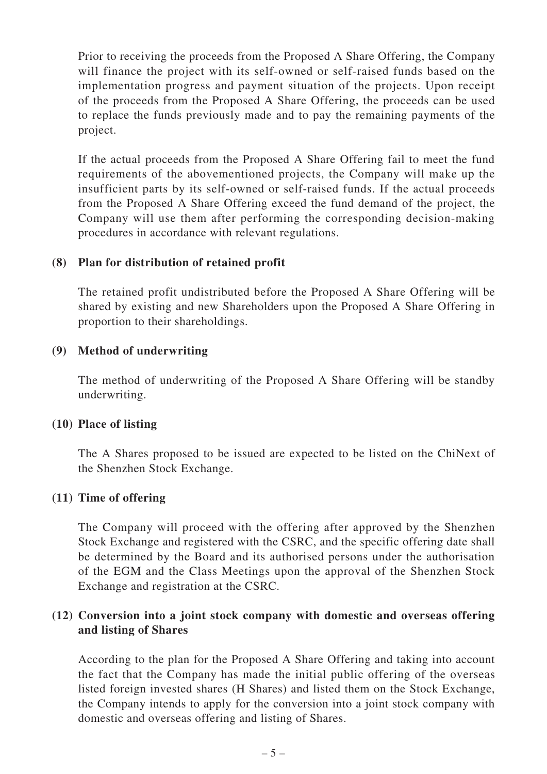Prior to receiving the proceeds from the Proposed A Share Offering, the Company will finance the project with its self-owned or self-raised funds based on the implementation progress and payment situation of the projects. Upon receipt of the proceeds from the Proposed A Share Offering, the proceeds can be used to replace the funds previously made and to pay the remaining payments of the project.

If the actual proceeds from the Proposed A Share Offering fail to meet the fund requirements of the abovementioned projects, the Company will make up the insufficient parts by its self-owned or self-raised funds. If the actual proceeds from the Proposed A Share Offering exceed the fund demand of the project, the Company will use them after performing the corresponding decision-making procedures in accordance with relevant regulations.

#### **(8) Plan for distribution of retained profit**

The retained profit undistributed before the Proposed A Share Offering will be shared by existing and new Shareholders upon the Proposed A Share Offering in proportion to their shareholdings.

#### **(9) Method of underwriting**

The method of underwriting of the Proposed A Share Offering will be standby underwriting.

## **(10) Place of listing**

The A Shares proposed to be issued are expected to be listed on the ChiNext of the Shenzhen Stock Exchange.

#### **(11) Time of offering**

The Company will proceed with the offering after approved by the Shenzhen Stock Exchange and registered with the CSRC, and the specific offering date shall be determined by the Board and its authorised persons under the authorisation of the EGM and the Class Meetings upon the approval of the Shenzhen Stock Exchange and registration at the CSRC.

#### **(12) Conversion into a joint stock company with domestic and overseas offering and listing of Shares**

According to the plan for the Proposed A Share Offering and taking into account the fact that the Company has made the initial public offering of the overseas listed foreign invested shares (H Shares) and listed them on the Stock Exchange, the Company intends to apply for the conversion into a joint stock company with domestic and overseas offering and listing of Shares.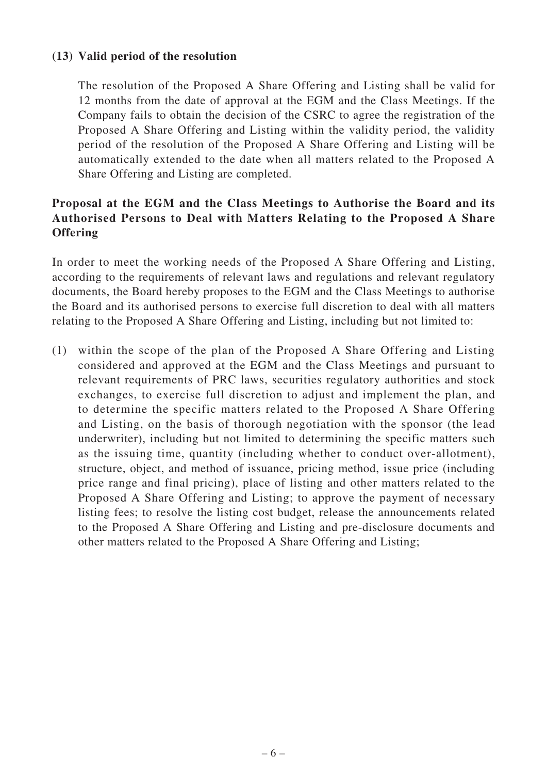#### **(13) Valid period of the resolution**

The resolution of the Proposed A Share Offering and Listing shall be valid for 12 months from the date of approval at the EGM and the Class Meetings. If the Company fails to obtain the decision of the CSRC to agree the registration of the Proposed A Share Offering and Listing within the validity period, the validity period of the resolution of the Proposed A Share Offering and Listing will be automatically extended to the date when all matters related to the Proposed A Share Offering and Listing are completed.

## **Proposal at the EGM and the Class Meetings to Authorise the Board and its Authorised Persons to Deal with Matters Relating to the Proposed A Share Offering**

In order to meet the working needs of the Proposed A Share Offering and Listing, according to the requirements of relevant laws and regulations and relevant regulatory documents, the Board hereby proposes to the EGM and the Class Meetings to authorise the Board and its authorised persons to exercise full discretion to deal with all matters relating to the Proposed A Share Offering and Listing, including but not limited to:

(1) within the scope of the plan of the Proposed A Share Offering and Listing considered and approved at the EGM and the Class Meetings and pursuant to relevant requirements of PRC laws, securities regulatory authorities and stock exchanges, to exercise full discretion to adjust and implement the plan, and to determine the specific matters related to the Proposed A Share Offering and Listing, on the basis of thorough negotiation with the sponsor (the lead underwriter), including but not limited to determining the specific matters such as the issuing time, quantity (including whether to conduct over-allotment), structure, object, and method of issuance, pricing method, issue price (including price range and final pricing), place of listing and other matters related to the Proposed A Share Offering and Listing; to approve the payment of necessary listing fees; to resolve the listing cost budget, release the announcements related to the Proposed A Share Offering and Listing and pre-disclosure documents and other matters related to the Proposed A Share Offering and Listing;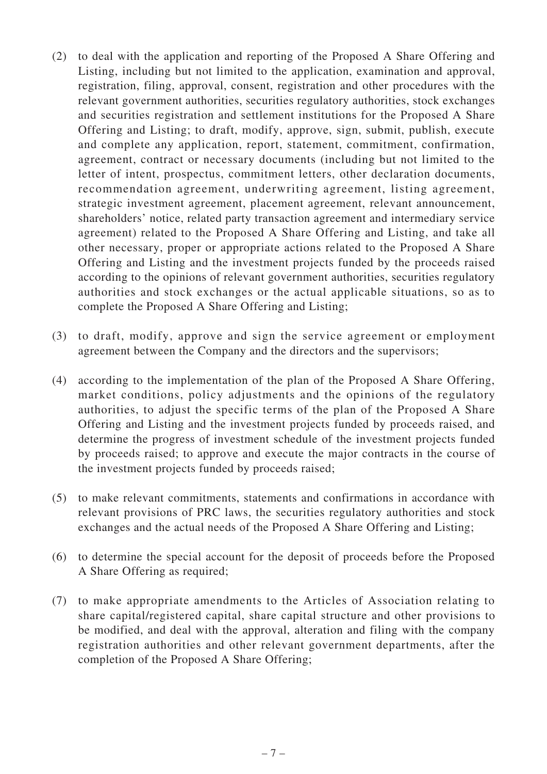- (2) to deal with the application and reporting of the Proposed A Share Offering and Listing, including but not limited to the application, examination and approval, registration, filing, approval, consent, registration and other procedures with the relevant government authorities, securities regulatory authorities, stock exchanges and securities registration and settlement institutions for the Proposed A Share Offering and Listing; to draft, modify, approve, sign, submit, publish, execute and complete any application, report, statement, commitment, confirmation, agreement, contract or necessary documents (including but not limited to the letter of intent, prospectus, commitment letters, other declaration documents, recommendation agreement, underwriting agreement, listing agreement, strategic investment agreement, placement agreement, relevant announcement, shareholders' notice, related party transaction agreement and intermediary service agreement) related to the Proposed A Share Offering and Listing, and take all other necessary, proper or appropriate actions related to the Proposed A Share Offering and Listing and the investment projects funded by the proceeds raised according to the opinions of relevant government authorities, securities regulatory authorities and stock exchanges or the actual applicable situations, so as to complete the Proposed A Share Offering and Listing;
- (3) to draft, modify, approve and sign the service agreement or employment agreement between the Company and the directors and the supervisors;
- (4) according to the implementation of the plan of the Proposed A Share Offering, market conditions, policy adjustments and the opinions of the regulatory authorities, to adjust the specific terms of the plan of the Proposed A Share Offering and Listing and the investment projects funded by proceeds raised, and determine the progress of investment schedule of the investment projects funded by proceeds raised; to approve and execute the major contracts in the course of the investment projects funded by proceeds raised;
- (5) to make relevant commitments, statements and confirmations in accordance with relevant provisions of PRC laws, the securities regulatory authorities and stock exchanges and the actual needs of the Proposed A Share Offering and Listing;
- (6) to determine the special account for the deposit of proceeds before the Proposed A Share Offering as required;
- (7) to make appropriate amendments to the Articles of Association relating to share capital/registered capital, share capital structure and other provisions to be modified, and deal with the approval, alteration and filing with the company registration authorities and other relevant government departments, after the completion of the Proposed A Share Offering;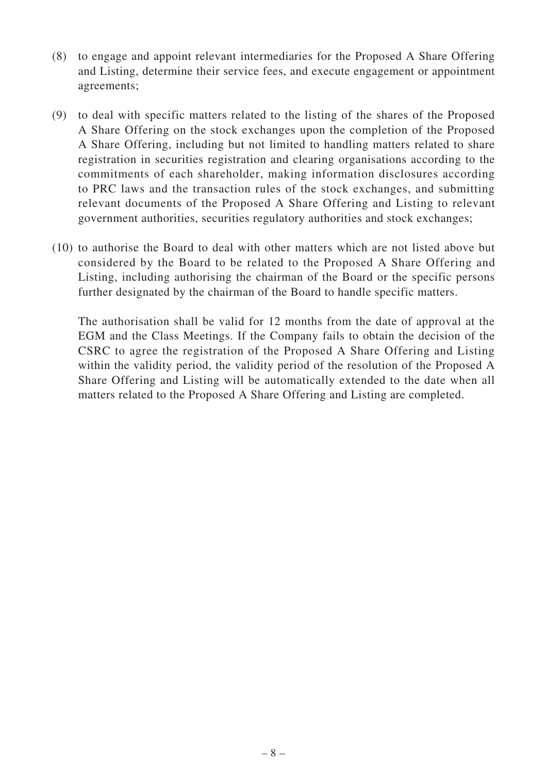- (8) to engage and appoint relevant intermediaries for the Proposed A Share Offering and Listing, determine their service fees, and execute engagement or appointment agreements;
- (9) to deal with specific matters related to the listing of the shares of the Proposed A Share Offering on the stock exchanges upon the completion of the Proposed A Share Offering, including but not limited to handling matters related to share registration in securities registration and clearing organisations according to the commitments of each shareholder, making information disclosures according to PRC laws and the transaction rules of the stock exchanges, and submitting relevant documents of the Proposed A Share Offering and Listing to relevant government authorities, securities regulatory authorities and stock exchanges;
- (10) to authorise the Board to deal with other matters which are not listed above but considered by the Board to be related to the Proposed A Share Offering and Listing, including authorising the chairman of the Board or the specific persons further designated by the chairman of the Board to handle specific matters.

The authorisation shall be valid for 12 months from the date of approval at the EGM and the Class Meetings. If the Company fails to obtain the decision of the CSRC to agree the registration of the Proposed A Share Offering and Listing within the validity period, the validity period of the resolution of the Proposed A Share Offering and Listing will be automatically extended to the date when all matters related to the Proposed A Share Offering and Listing are completed.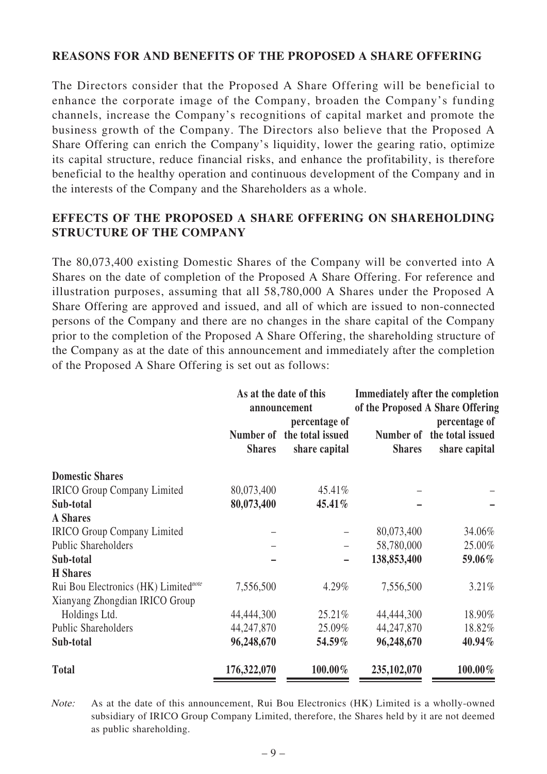#### **REASONS FOR AND BENEFITS OF THE PROPOSED A SHARE OFFERING**

The Directors consider that the Proposed A Share Offering will be beneficial to enhance the corporate image of the Company, broaden the Company's funding channels, increase the Company's recognitions of capital market and promote the business growth of the Company. The Directors also believe that the Proposed A Share Offering can enrich the Company's liquidity, lower the gearing ratio, optimize its capital structure, reduce financial risks, and enhance the profitability, is therefore beneficial to the healthy operation and continuous development of the Company and in the interests of the Company and the Shareholders as a whole.

## **EFFECTS OF THE PROPOSED A SHARE OFFERING ON SHAREHOLDING STRUCTURE OF THE COMPANY**

The 80,073,400 existing Domestic Shares of the Company will be converted into A Shares on the date of completion of the Proposed A Share Offering. For reference and illustration purposes, assuming that all 58,780,000 A Shares under the Proposed A Share Offering are approved and issued, and all of which are issued to non-connected persons of the Company and there are no changes in the share capital of the Company prior to the completion of the Proposed A Share Offering, the shareholding structure of the Company as at the date of this announcement and immediately after the completion of the Proposed A Share Offering is set out as follows:

|                                                  | As at the date of this<br>announcement |                                                              | <b>Immediately after the completion</b><br>of the Proposed A Share Offering |                                                              |
|--------------------------------------------------|----------------------------------------|--------------------------------------------------------------|-----------------------------------------------------------------------------|--------------------------------------------------------------|
|                                                  | <b>Shares</b>                          | percentage of<br>Number of the total issued<br>share capital | <b>Shares</b>                                                               | percentage of<br>Number of the total issued<br>share capital |
| <b>Domestic Shares</b>                           |                                        |                                                              |                                                                             |                                                              |
| <b>IRICO</b> Group Company Limited               | 80,073,400                             | 45.41%                                                       |                                                                             |                                                              |
| Sub-total                                        | 80,073,400                             | 45.41%                                                       |                                                                             |                                                              |
| <b>A</b> Shares                                  |                                        |                                                              |                                                                             |                                                              |
| <b>IRICO</b> Group Company Limited               |                                        |                                                              | 80,073,400                                                                  | 34.06%                                                       |
| <b>Public Shareholders</b>                       |                                        |                                                              | 58,780,000                                                                  | 25.00%                                                       |
| Sub-total                                        |                                        |                                                              | 138,853,400                                                                 | 59.06%                                                       |
| <b>H</b> Shares                                  |                                        |                                                              |                                                                             |                                                              |
| Rui Bou Electronics (HK) Limited <sup>note</sup> | 7,556,500                              | 4.29%                                                        | 7,556,500                                                                   | 3.21%                                                        |
| Xianyang Zhongdian IRICO Group                   |                                        |                                                              |                                                                             |                                                              |
| Holdings Ltd.                                    | 44,444,300                             | 25.21%                                                       | 44,444,300                                                                  | 18.90%                                                       |
| <b>Public Shareholders</b>                       | 44,247,870                             | 25.09%                                                       | 44,247,870                                                                  | 18.82%                                                       |
| Sub-total                                        | 96,248,670                             | $54.59\%$                                                    | 96,248,670                                                                  | 40.94%                                                       |
| <b>Total</b>                                     | 176,322,070                            | 100.00%                                                      | 235,102,070                                                                 | 100.00%                                                      |

Note: As at the date of this announcement, Rui Bou Electronics (HK) Limited is a wholly-owned subsidiary of IRICO Group Company Limited, therefore, the Shares held by it are not deemed as public shareholding.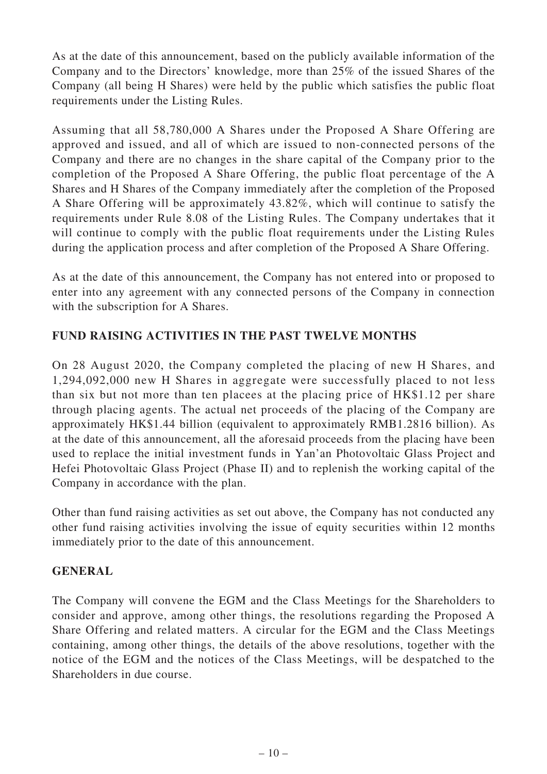As at the date of this announcement, based on the publicly available information of the Company and to the Directors' knowledge, more than 25% of the issued Shares of the Company (all being H Shares) were held by the public which satisfies the public float requirements under the Listing Rules.

Assuming that all 58,780,000 A Shares under the Proposed A Share Offering are approved and issued, and all of which are issued to non-connected persons of the Company and there are no changes in the share capital of the Company prior to the completion of the Proposed A Share Offering, the public float percentage of the A Shares and H Shares of the Company immediately after the completion of the Proposed A Share Offering will be approximately 43.82%, which will continue to satisfy the requirements under Rule 8.08 of the Listing Rules. The Company undertakes that it will continue to comply with the public float requirements under the Listing Rules during the application process and after completion of the Proposed A Share Offering.

As at the date of this announcement, the Company has not entered into or proposed to enter into any agreement with any connected persons of the Company in connection with the subscription for A Shares.

## **FUND RAISING ACTIVITIES IN THE PAST TWELVE MONTHS**

On 28 August 2020, the Company completed the placing of new H Shares, and 1,294,092,000 new H Shares in aggregate were successfully placed to not less than six but not more than ten placees at the placing price of HK\$1.12 per share through placing agents. The actual net proceeds of the placing of the Company are approximately HK\$1.44 billion (equivalent to approximately RMB1.2816 billion). As at the date of this announcement, all the aforesaid proceeds from the placing have been used to replace the initial investment funds in Yan'an Photovoltaic Glass Project and Hefei Photovoltaic Glass Project (Phase II) and to replenish the working capital of the Company in accordance with the plan.

Other than fund raising activities as set out above, the Company has not conducted any other fund raising activities involving the issue of equity securities within 12 months immediately prior to the date of this announcement.

#### **GENERAL**

The Company will convene the EGM and the Class Meetings for the Shareholders to consider and approve, among other things, the resolutions regarding the Proposed A Share Offering and related matters. A circular for the EGM and the Class Meetings containing, among other things, the details of the above resolutions, together with the notice of the EGM and the notices of the Class Meetings, will be despatched to the Shareholders in due course.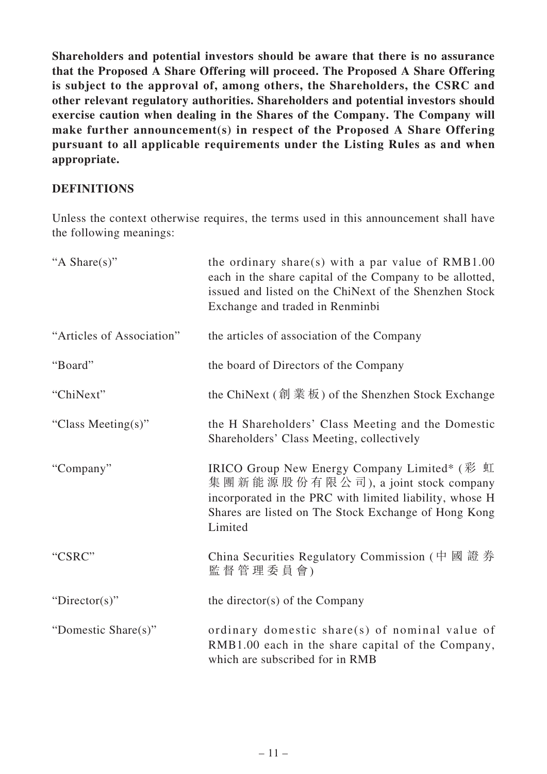**Shareholders and potential investors should be aware that there is no assurance that the Proposed A Share Offering will proceed. The Proposed A Share Offering is subject to the approval of, among others, the Shareholders, the CSRC and other relevant regulatory authorities. Shareholders and potential investors should exercise caution when dealing in the Shares of the Company. The Company will make further announcement(s) in respect of the Proposed A Share Offering pursuant to all applicable requirements under the Listing Rules as and when appropriate.**

## **DEFINITIONS**

Unless the context otherwise requires, the terms used in this announcement shall have the following meanings:

| "A Share(s)"              | the ordinary share(s) with a par value of $RMB1.00$<br>each in the share capital of the Company to be allotted,<br>issued and listed on the ChiNext of the Shenzhen Stock<br>Exchange and traded in Renminbi     |
|---------------------------|------------------------------------------------------------------------------------------------------------------------------------------------------------------------------------------------------------------|
| "Articles of Association" | the articles of association of the Company                                                                                                                                                                       |
| "Board"                   | the board of Directors of the Company                                                                                                                                                                            |
| "ChiNext"                 | the ChiNext $(\text{parallel} \, \text{1})$ of the Shenzhen Stock Exchange                                                                                                                                       |
| "Class Meeting(s)"        | the H Shareholders' Class Meeting and the Domestic<br>Shareholders' Class Meeting, collectively                                                                                                                  |
| "Company"                 | IRICO Group New Energy Company Limited* (彩虹<br>集團新能源股份有限公司), a joint stock company<br>incorporated in the PRC with limited liability, whose H<br>Shares are listed on The Stock Exchange of Hong Kong<br>Limited |
| "CSRC"                    | China Securities Regulatory Commission (中國證券<br>監督管理委員會)                                                                                                                                                         |
| "Director(s)"             | the director(s) of the Company                                                                                                                                                                                   |
| "Domestic Share(s)"       | ordinary domestic share(s) of nominal value of<br>RMB1.00 each in the share capital of the Company,<br>which are subscribed for in RMB                                                                           |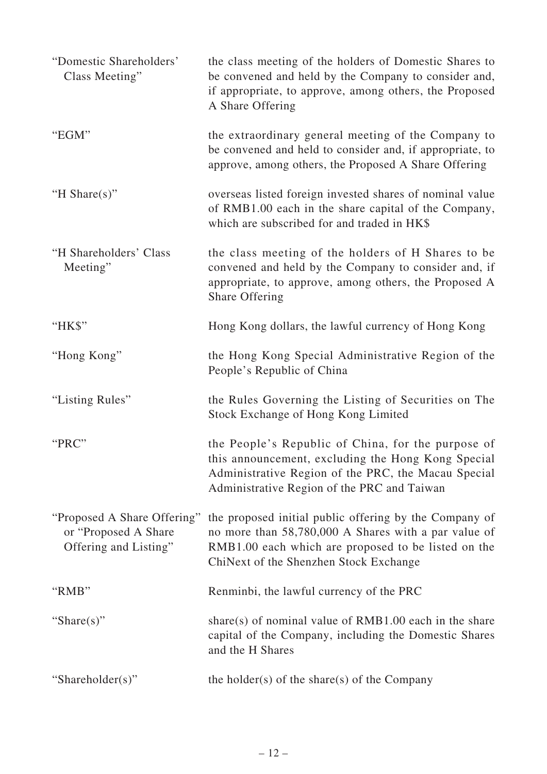| "Domestic Shareholders"<br>Class Meeting"                                     | the class meeting of the holders of Domestic Shares to<br>be convened and held by the Company to consider and,<br>if appropriate, to approve, among others, the Proposed<br>A Share Offering                    |
|-------------------------------------------------------------------------------|-----------------------------------------------------------------------------------------------------------------------------------------------------------------------------------------------------------------|
| "EGM"                                                                         | the extraordinary general meeting of the Company to<br>be convened and held to consider and, if appropriate, to<br>approve, among others, the Proposed A Share Offering                                         |
| "H Share $(s)$ "                                                              | overseas listed foreign invested shares of nominal value<br>of RMB1.00 each in the share capital of the Company,<br>which are subscribed for and traded in HK\$                                                 |
| "H Shareholders' Class<br>Meeting"                                            | the class meeting of the holders of H Shares to be<br>convened and held by the Company to consider and, if<br>appropriate, to approve, among others, the Proposed A<br>Share Offering                           |
| "HK\$"                                                                        | Hong Kong dollars, the lawful currency of Hong Kong                                                                                                                                                             |
| "Hong Kong"                                                                   | the Hong Kong Special Administrative Region of the<br>People's Republic of China                                                                                                                                |
| "Listing Rules"                                                               | the Rules Governing the Listing of Securities on The<br>Stock Exchange of Hong Kong Limited                                                                                                                     |
| "PRC"                                                                         | the People's Republic of China, for the purpose of<br>this announcement, excluding the Hong Kong Special<br>Administrative Region of the PRC, the Macau Special<br>Administrative Region of the PRC and Taiwan  |
| "Proposed A Share Offering"<br>or "Proposed A Share"<br>Offering and Listing" | the proposed initial public offering by the Company of<br>no more than 58,780,000 A Shares with a par value of<br>RMB1.00 each which are proposed to be listed on the<br>ChiNext of the Shenzhen Stock Exchange |
| "RMB"                                                                         | Renminbi, the lawful currency of the PRC                                                                                                                                                                        |
| "Share(s)"                                                                    | share(s) of nominal value of $RMB1.00$ each in the share<br>capital of the Company, including the Domestic Shares<br>and the H Shares                                                                           |
| "Shareholder(s)"                                                              | the holder(s) of the share(s) of the Company                                                                                                                                                                    |